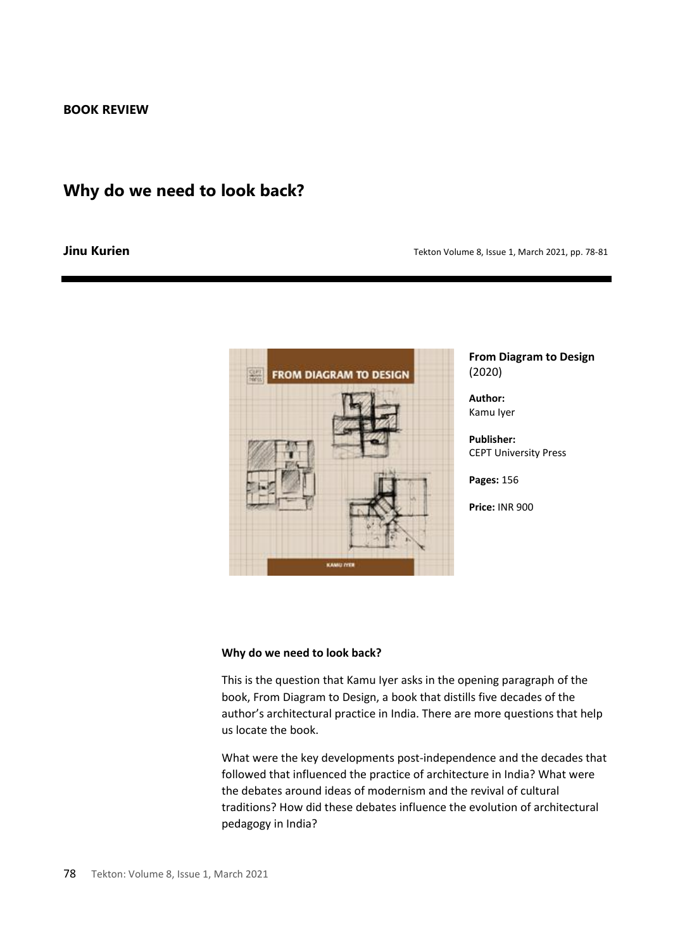## **Why do we need to look back?**

## **Jinu Kurien Tekton Volume 8, Issue 1, March 2021, pp. 78-81 Jinu Kurien**



**From Diagram to Design** (2020)

**Author:**  Kamu Iyer

**Publisher:**  CEPT University Press

**Pages:** 156

**Price:** INR 900

## **Why do we need to look back?**

This is the question that Kamu Iyer asks in the opening paragraph of the book, From Diagram to Design, a book that distills five decades of the author's architectural practice in India. There are more questions that help us locate the book.

What were the key developments post-independence and the decades that followed that influenced the practice of architecture in India? What were the debates around ideas of modernism and the revival of cultural traditions? How did these debates influence the evolution of architectural pedagogy in India?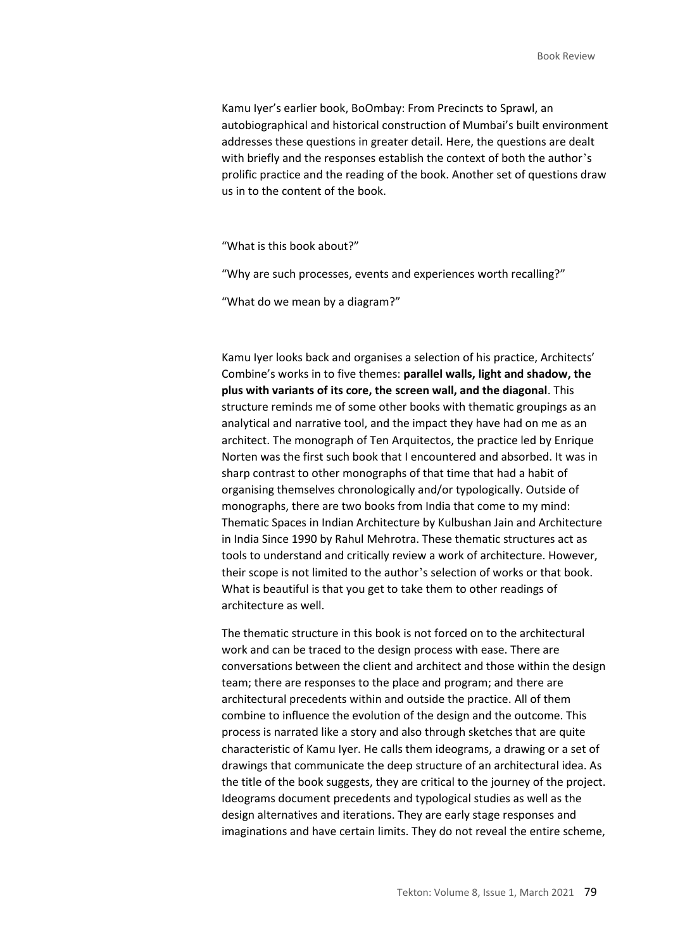Kamu Iyer's earlier book, BoOmbay: From Precincts to Sprawl, an autobiographical and historical construction of Mumbai's built environment addresses these questions in greater detail. Here, the questions are dealt with briefly and the responses establish the context of both the author's prolific practice and the reading of the book. Another set of questions draw us in to the content of the book.

"What is this book about?"

"Why are such processes, events and experiences worth recalling?"

"What do we mean by a diagram?"

Kamu Iyer looks back and organises a selection of his practice, Architects' Combine's works in to five themes: **parallel walls, light and shadow, the plus with variants of its core, the screen wall, and the diagonal**. This structure reminds me of some other books with thematic groupings as an analytical and narrative tool, and the impact they have had on me as an architect. The monograph of Ten Arquitectos, the practice led by Enrique Norten was the first such book that I encountered and absorbed. It was in sharp contrast to other monographs of that time that had a habit of organising themselves chronologically and/or typologically. Outside of monographs, there are two books from India that come to my mind: Thematic Spaces in Indian Architecture by Kulbushan Jain and Architecture in India Since 1990 by Rahul Mehrotra. These thematic structures act as tools to understand and critically review a work of architecture. However, their scope is not limited to the author's selection of works or that book. What is beautiful is that you get to take them to other readings of architecture as well.

The thematic structure in this book is not forced on to the architectural work and can be traced to the design process with ease. There are conversations between the client and architect and those within the design team; there are responses to the place and program; and there are architectural precedents within and outside the practice. All of them combine to influence the evolution of the design and the outcome. This process is narrated like a story and also through sketches that are quite characteristic of Kamu Iyer. He calls them ideograms, a drawing or a set of drawings that communicate the deep structure of an architectural idea. As the title of the book suggests, they are critical to the journey of the project. Ideograms document precedents and typological studies as well as the design alternatives and iterations. They are early stage responses and imaginations and have certain limits. They do not reveal the entire scheme,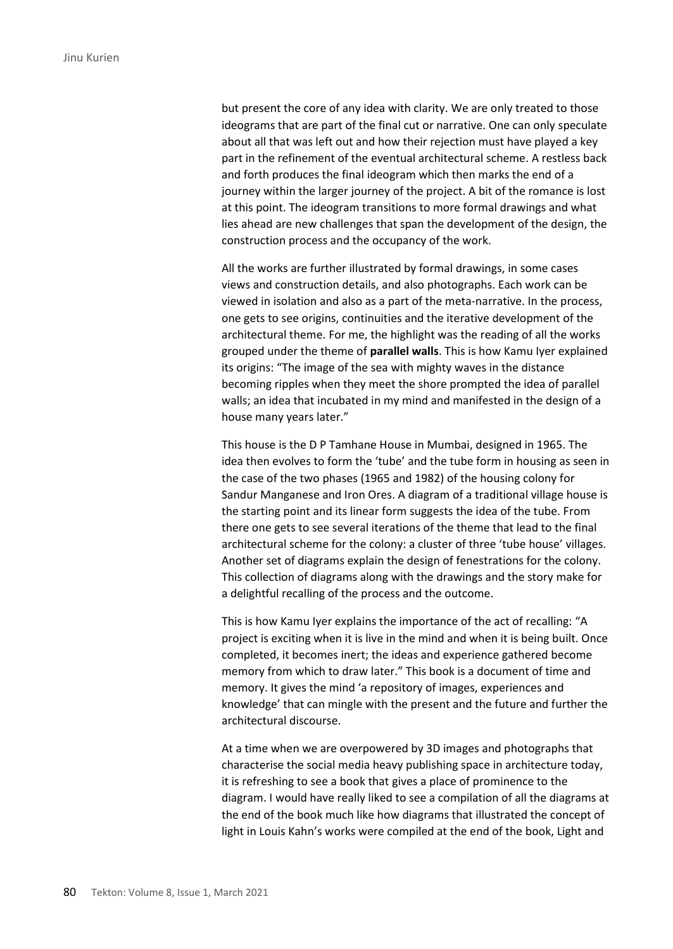but present the core of any idea with clarity. We are only treated to those ideograms that are part of the final cut or narrative. One can only speculate about all that was left out and how their rejection must have played a key part in the refinement of the eventual architectural scheme. A restless back and forth produces the final ideogram which then marks the end of a journey within the larger journey of the project. A bit of the romance is lost at this point. The ideogram transitions to more formal drawings and what lies ahead are new challenges that span the development of the design, the construction process and the occupancy of the work.

All the works are further illustrated by formal drawings, in some cases views and construction details, and also photographs. Each work can be viewed in isolation and also as a part of the meta-narrative. In the process, one gets to see origins, continuities and the iterative development of the architectural theme. For me, the highlight was the reading of all the works grouped under the theme of **parallel walls**. This is how Kamu Iyer explained its origins: "The image of the sea with mighty waves in the distance becoming ripples when they meet the shore prompted the idea of parallel walls; an idea that incubated in my mind and manifested in the design of a house many years later."

This house is the D P Tamhane House in Mumbai, designed in 1965. The idea then evolves to form the 'tube' and the tube form in housing as seen in the case of the two phases (1965 and 1982) of the housing colony for Sandur Manganese and Iron Ores. A diagram of a traditional village house is the starting point and its linear form suggests the idea of the tube. From there one gets to see several iterations of the theme that lead to the final architectural scheme for the colony: a cluster of three 'tube house' villages. Another set of diagrams explain the design of fenestrations for the colony. This collection of diagrams along with the drawings and the story make for a delightful recalling of the process and the outcome.

This is how Kamu Iyer explains the importance of the act of recalling: "A project is exciting when it is live in the mind and when it is being built. Once completed, it becomes inert; the ideas and experience gathered become memory from which to draw later." This book is a document of time and memory. It gives the mind 'a repository of images, experiences and knowledge' that can mingle with the present and the future and further the architectural discourse.

At a time when we are overpowered by 3D images and photographs that characterise the social media heavy publishing space in architecture today, it is refreshing to see a book that gives a place of prominence to the diagram. I would have really liked to see a compilation of all the diagrams at the end of the book much like how diagrams that illustrated the concept of light in Louis Kahn's works were compiled at the end of the book, Light and